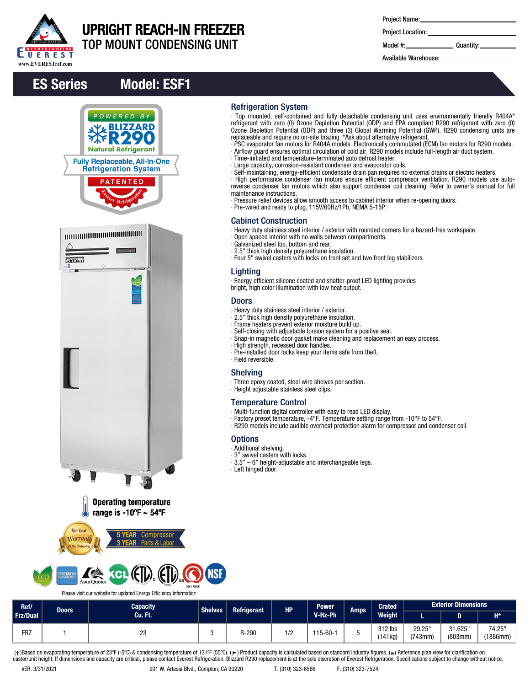

# UPRIGHT REACH-IN FREEZER

TOP MOUNT CONDENSING UNIT

| <b>Project Name:</b> |  |
|----------------------|--|
|----------------------|--|

∙ Top mounted, self-contained and fully detachable condensing unit uses environmentally friendly R404A\* refrigerant with zero (0) Ozone Depletion Potential (ODP) and EPA compliant R290 refrigerant with zero (0) Ozone Depletion Potential (ODP) and three (3) Global Warming Potential (GWP). R290 condensing units are

∙ PSC evaporator fan motors for R404A models. Electronically commutated (ECM) fan motors for R290 models. ∙ Airflow guard ensures optimal circulation of cold air. R290 models include full-length air duct system.

∙ Self-maintaining, energy-efficient condensate drain pan requires no external drains or electric heaters. ∙ High performance condenser fan motors ensure efficient compressor ventilation. R290 models use autoreverse condenser fan motors which also support condenser coil cleaning. Refer to owner's manual for full

∙ Pressure relief devices allow smooth access to cabinet interior when re-opening doors.

∙ Heavy duty stainless steel interior / exterior with rounded corners for a hazard-free workspace.

replaceable and require no on-site brazing. \*Ask about alternative refrigerant.

∙ Time-initiated and temperature-terminated auto defrost heater. ∙ Large capacity, corrosion-resistant condenser and evaporator coils.

∙ Pre-wired and ready to plug, 115V/60Hz/1Ph, NEMA 5-15P.

∙ Open spaced interior with no walls between compartments.

∙ Four 5" swivel casters with locks on front set and two front leg stabilizers.

∙ Energy efficient silicone coated and shatter-proof LED lighting provides

∙ Snap-in magnetic door gasket make cleaning and replacement an easy process.

∙ Factory preset temperature, -4°F. Temperature setting range from -10°F to 54°F. ∙ R290 models include audible overheat protection alarm for compressor and condenser coil.

Project Location:

Model #: Quantity:

Available Warehouse:

## ES Series Model: ESF1









# **ISO 9001**

Please visit our website for updated Energy Efficiency information

| Ref/       | Doors | <b>Capacity</b> | <b>Shelves</b> | <b>Refrigerant</b> | <b>HP</b>        | <b>Power</b> | <b>Amps</b> |                   |                        |                    | <b>Crated</b>      | <b>Exterior Dimensions</b> |  |  |
|------------|-------|-----------------|----------------|--------------------|------------------|--------------|-------------|-------------------|------------------------|--------------------|--------------------|----------------------------|--|--|
| Frz/Dual   |       | Cu. Ft.         |                |                    |                  | V-Hz-Ph      |             | <b>Weight</b>     |                        |                    | $H^*$              |                            |  |  |
| <b>FRZ</b> |       | nn<br>دے        |                | R-290              | $\sqrt{2}$<br>74 | $115-60-1$   |             | 312 lbs<br>141kg) | 29.25<br>$(743$ mm $)$ | 31.625"<br>(803mm) | 74.25"<br>(1886mm) |                            |  |  |

Refrigeration System

maintenance instructions.

Lighting

**Doors** 

∙ Field reversible. Shelving

**Options** ∙ Additional shelving. ∙ 3" swivel casters with locks.

∙ Left hinged door.

Cabinet Construction

∙ Galvanized steel top, bottom and rear. ∙ 2.5" thick high density polyurethane insulation.

bright, high color illumination with low heat output.

∙ Pre-installed door locks keep your items safe from theft.

∙ Multi-function digital controller with easy to read LED display.

∙ 3.5" – 6" height-adjustable and interchangeable legs.

∙ Three epoxy coated, steel wire shelves per section.

∙ Heavy duty stainless steel interior / exterior. ∙ 2.5" thick high density polyurethane insulation. ∙ Frame heaters prevent exterior moisture build up. ∙ Self-closing with adjustable torsion system for a positive seal.

∙ High strength, recessed door handles.

∙ Height adjustable stainless steel clips.

Temperature Control

(†)Based on evaporating temperature of 23ºF (-5ºC) & condensing temperature of 131ºF (55ºC). (ך) Product capacity is calculated based on standard industry figures. (\*) Reference plan view for clarification on<br>caster/unit h